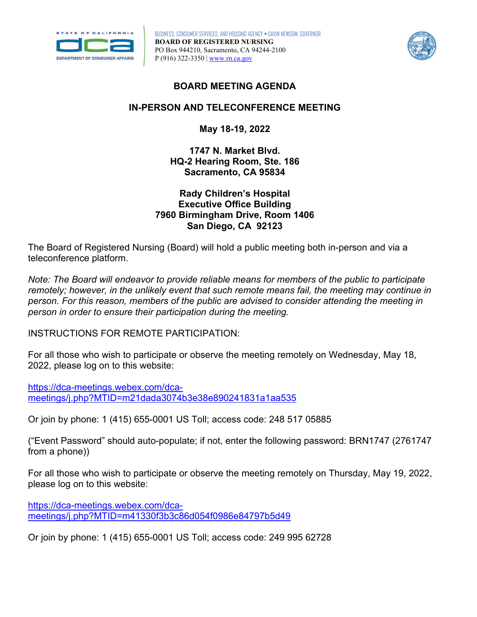

BUSINESS, CONSUMER SERVICES, AND HOUSING AGENCY • GAVIN NEWSOM, GOVERNOR **BOARD OF REGISTERED NURSING**  PO Box 944210, Sacramento, CA 94244-2100 P (916) 322-3350 | [www.rn.ca.gov](http://www.rn.ca.gov/) 



## **BOARD MEETING AGENDA**

## **IN-PERSON AND TELECONFERENCE MEETING**

**May 18-19, 2022** 

**1747 N. Market Blvd. HQ-2 Hearing Room, Ste. 186 Sacramento, CA 95834** 

## **Rady Children's Hospital Executive Office Building 7960 Birmingham Drive, Room 1406 San Diego, CA 92123**

The Board of Registered Nursing (Board) will hold a public meeting both in-person and via a teleconference platform.

 *remotely; however, in the unlikely event that such remote means fail, the meeting may continue in Note: The Board will endeavor to provide reliable means for members of the public to participate person. For this reason, members of the public are advised to consider attending the meeting in person in order to ensure their participation during the meeting.* 

INSTRUCTIONS FOR REMOTE PARTICIPATION:

2022, please log on to this website: For all those who wish to participate or observe the meeting remotely on Wednesday, May 18,

[https://dca-meetings.webex.com/dca](https://dca-meetings.webex.com/dca-meetings/j.php?MTID=m21dada3074b3e38e890241831a1aa535)[meetings/j.php?MTID=m21dada3074b3e38e890241831a1aa535](https://dca-meetings.webex.com/dca-meetings/j.php?MTID=m21dada3074b3e38e890241831a1aa535) 

Or join by phone: 1 (415) 655-0001 US Toll; access code: 248 517 05885

("Event Password" should auto-populate; if not, enter the following password: BRN1747 (2761747 from a phone))

For all those who wish to participate or observe the meeting remotely on Thursday, May 19, 2022, please log on to this website:

[https://dca-meetings.webex.com/dca](https://dca-meetings.webex.com/dca-meetings/j.php?MTID=m41330f3b3c86d054f0986e84797b5d49)[meetings/j.php?MTID=m41330f3b3c86d054f0986e84797b5d49](https://dca-meetings.webex.com/dca-meetings/j.php?MTID=m41330f3b3c86d054f0986e84797b5d49) 

Or join by phone: 1 (415) 655-0001 US Toll; access code: 249 995 62728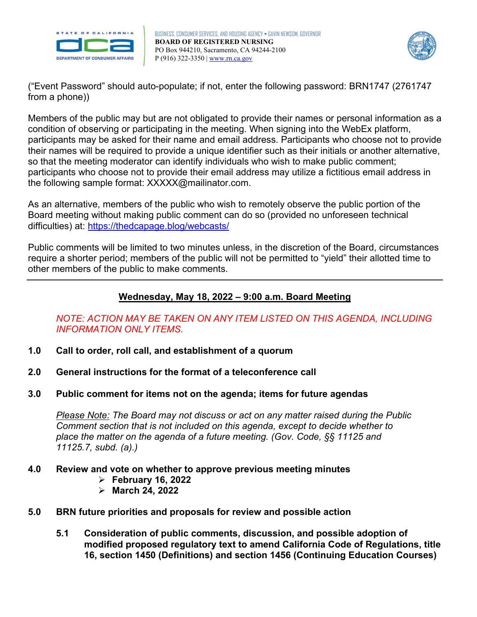

BUSINESS, CONSUMER SERVICES, AND HOUSING AGENCY • GAVIN NEWSOM, GOVERNOR **BOARD OF REGISTERED NURSING**  PO Box 944210, Sacramento, CA 94244-2100 P (916) 322-3350 | [www.rn.ca.gov](http://www.rn.ca.gov/) 



("Event Password" should auto-populate; if not, enter the following password: BRN1747 (2761747 from a phone))

 their names will be required to provide a unique identifier such as their initials or another alternative, Members of the public may but are not obligated to provide their names or personal information as a condition of observing or participating in the meeting. When signing into the WebEx platform, participants may be asked for their name and email address. Participants who choose not to provide so that the meeting moderator can identify individuals who wish to make public comment; participants who choose not to provide their email address may utilize a fictitious email address in the following sample format: [XXXXX@mailinator.com](mailto:XXXXX@mailinator.com).

As an alternative, members of the public who wish to remotely observe the public portion of the Board meeting without making public comment can do so (provided no unforeseen technical difficulties) at:<https://thedcapage.blog/webcasts/>

Public comments will be limited to two minutes unless, in the discretion of the Board, circumstances require a shorter period; members of the public will not be permitted to "yield" their allotted time to other members of the public to make comments.

# **Wednesday, May 18, 2022 – 9:00 a.m. Board Meeting**

# *NOTE: ACTION MAY BE TAKEN ON ANY ITEM LISTED ON THIS AGENDA, INCLUDING INFORMATION ONLY ITEMS.*

- **1.0 Call to order, roll call, and establishment of a quorum**
- **2.0 General instructions for the format of a teleconference call**
- **3.0 Public comment for items not on the agenda; items for future agendas**

*Please Note: The Board may not discuss or act on any matter raised during the Public Comment section that is not included on this agenda, except to decide whether to place the matter on the agenda of a future meeting. (Gov. Code, §§ 11125 and 11125.7, subd. (a).)* 

- **4.0 Review and vote on whether to approve previous meeting minutes** 
	- **February 16, 2022**
	- **March 24, 2022**
- **5.0 BRN future priorities and proposals for review and possible action** 
	- **5.1 Consideration of public comments, discussion, and possible adoption of modified proposed regulatory text to amend California Code of Regulations, title 16, section 1450 (Definitions) and section 1456 (Continuing Education Courses)**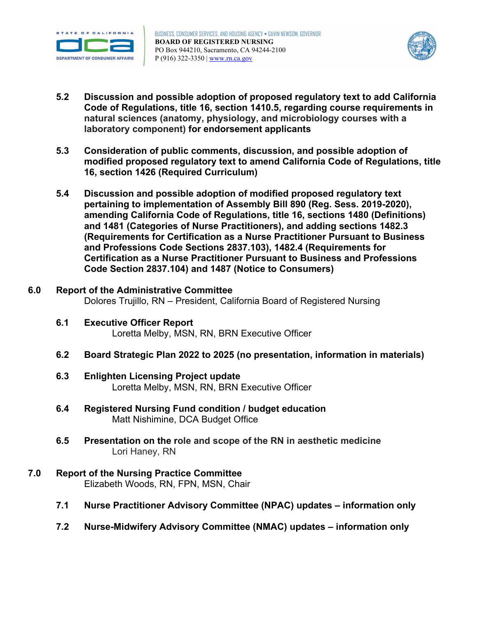



- **5.2 Discussion and possible adoption of proposed regulatory text to add California Code of Regulations, title 16, section 1410.5, regarding course requirements in natural sciences (anatomy, physiology, and microbiology courses with a laboratory component) for endorsement applicants**
- **5.3 Consideration of public comments, discussion, and possible adoption of modified proposed regulatory text to amend California Code of Regulations, title 16, section 1426 (Required Curriculum)**
- **amending California Code of Regulations, title 16, sections 1480 (Definitions) 5.4 Discussion and possible adoption of modified proposed regulatory text pertaining to implementation of Assembly Bill 890 (Reg. Sess. 2019-2020), and 1481 (Categories of Nurse Practitioners), and adding sections 1482.3 (Requirements for Certification as a Nurse Practitioner Pursuant to Business and Professions Code Sections 2837.103), 1482.4 (Requirements for Certification as a Nurse Practitioner Pursuant to Business and Professions Code Section 2837.104) and 1487 (Notice to Consumers)**

#### **6.0 Report of the Administrative Committee** Dolores Trujillo, RN – President, California Board of Registered Nursing

- **6.1 Executive Officer Report** Loretta Melby, MSN, RN, BRN Executive Officer
- **6.2 Board Strategic Plan 2022 to 2025 (no presentation, information in materials)**
- **6.3 Enlighten Licensing Project update** Loretta Melby, MSN, RN, BRN Executive Officer
- **6.4 Registered Nursing Fund condition / budget education**  Matt Nishimine, DCA Budget Office
- **6.5 Presentation on the role and scope of the RN in aesthetic medicine**  Lori Haney, RN
- **7.0 Report of the Nursing Practice Committee** Elizabeth Woods, RN, FPN, MSN, Chair
	- **7.1 Nurse Practitioner Advisory Committee (NPAC) updates information only**
	- **7.2 Nurse-Midwifery Advisory Committee (NMAC) updates information only**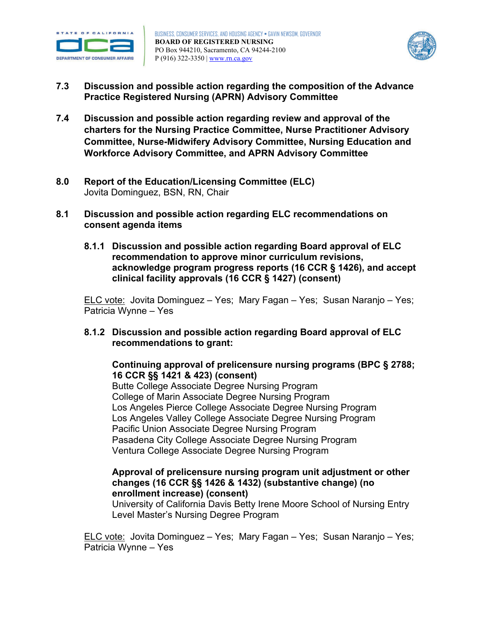



- **Practice Registered Nursing (APRN) Advisory Committee 7.3 Discussion and possible action regarding the composition of the Advance**
- **Practice Register Practice Approxing 1.4 Discussion and Spanism Discussion and possible action regarding review and approval of the charters for the Nursing Practice Committee, Nurse Practitioner Advisory Committee, Nurse-Midwifery Advisory Committee, Nursing Education and**
- **Workforce Advisory Committee, and APRN Advisory Committee 8.0 Report of the Education/Licensing Committee (ELC)** Jovita Dominguez, BSN, RN, Chair
- $8.1$ **8.1 Discussion and possible action regarding ELC recommendations on consent agenda items** 
	- **8.1.1 Discussion and possible action regarding Board approval of ELC recommendation to approve minor curriculum revisions, clinical facility approvals (16 CCR § 1427) (consent) acknowledge program progress reports (16 CCR § 1426), and accept**

 ELC vote: Jovita Dominguez – Yes; Mary Fagan – Yes; Susan Naranjo – Yes; Patricia Wynne – Yes

 **8.1.2 Discussion and possible action regarding Board approval of ELC recommendations to grant:** 

**Continuing approval of prelicensure nursing programs (BPC § 2788; 16 CCR §§ 1421 & 423) (consent)**

Butte College Associate Degree Nursing Program College of Marin Associate Degree Nursing Program Los Angeles Pierce College Associate Degree Nursing Program Los Angeles Valley College Associate Degree Nursing Program Pacific Union Associate Degree Nursing Program Pasadena City College Associate Degree Nursing Program Ventura College Associate Degree Nursing Program

## **enrollment increase) (consent) Approval of prelicensure nursing program unit adjustment or other changes (16 CCR §§ 1426 & 1432) (substantive change) (no**

University of California Davis Betty Irene Moore School of Nursing Entry Level Master's Nursing Degree Program

<u>ELC vote:</u> Jovita Dominguez – Yes; Mary Fagan – Yes; Susan Naranjo – Yes; Patricia Wynne – Yes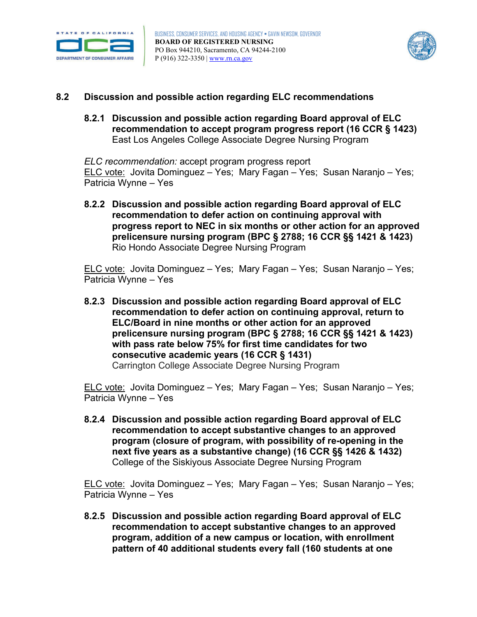



#### $8.2$ **8.2 Discussion and possible action regarding ELC recommendations**

 **8.2.1 Discussion and possible action regarding Board approval of ELC recommendation to accept program progress report (16 CCR § 1423)**  East Los Angeles College Associate Degree Nursing Program

<u>ELC vote:</u> Jovita Dominguez – Yes; Mary Fagan – Yes; Susan Naranjo – Yes; Patricia Wynne – Yes *ELC recommendation:* accept program progress report

 **8.2.2 Discussion and possible action regarding Board approval of ELC progress report to NEC in six months or other action for an approved recommendation to defer action on continuing approval with prelicensure nursing program (BPC § 2788; 16 CCR §§ 1421 & 1423)**  Rio Hondo Associate Degree Nursing Program

<u>ELC vote:</u> Jovita Dominguez – Yes; Mary Fagan – Yes; Susan Naranjo – Yes; Patricia Wynne – Yes

 **8.2.3 Discussion and possible action regarding Board approval of ELC recommendation to defer action on continuing approval, return to ELC/Board in nine months or other action for an approved prelicensure nursing program (BPC § 2788; 16 CCR §§ 1421 & 1423) with pass rate below 75% for first time candidates for two consecutive academic years (16 CCR § 1431)** Carrington College Associate Degree Nursing Program

<u>ELC vote:</u> Jovita Dominguez – Yes; Mary Fagan – Yes; Susan Naranjo – Yes; Patricia Wynne – Yes

 **8.2.4 Discussion and possible action regarding Board approval of ELC program (closure of program, with possibility of re-opening in the next five years as a substantive change) (16 CCR §§ 1426 & 1432) recommendation to accept substantive changes to an approved**  College of the Siskiyous Associate Degree Nursing Program

<u>ELC vote:</u> Jovita Dominguez – Yes; Mary Fagan – Yes; Susan Naranjo – Yes; Patricia Wynne – Yes

 **pattern of 40 additional students every fall (160 students at one 8.2.5 Discussion and possible action regarding Board approval of ELC recommendation to accept substantive changes to an approved program, addition of a new campus or location, with enrollment**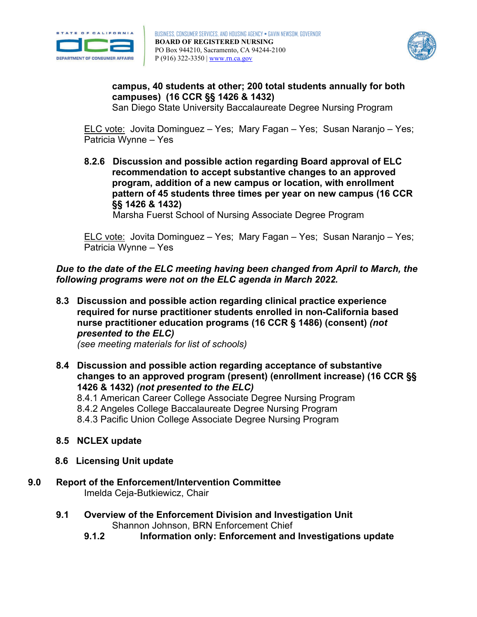



## **campuses) (16 CCR §§ 1426 & 1432) campus, 40 students at other; 200 total students annually for both**

San Diego State University Baccalaureate Degree Nursing Program

<u>ELC vote:</u> Jovita Dominguez – Yes; Mary Fagan – Yes; Susan Naranjo – Yes; Patricia Wynne – Yes

 **8.2.6 Discussion and possible action regarding Board approval of ELC pattern of 45 students three times per year on new campus (16 CCR recommendation to accept substantive changes to an approved program, addition of a new campus or location, with enrollment §§ 1426 & 1432)**

Marsha Fuerst School of Nursing Associate Degree Program

<u>ELC vote:</u> Jovita Dominguez – Yes; Mary Fagan – Yes; Susan Naranjo – Yes; Patricia Wynne – Yes

 *Due to the date of the ELC meeting having been changed from April to March, the following programs were not on the ELC agenda in March 2022.* 

 **8.3 Discussion and possible action regarding clinical practice experience**   *presented to the ELC)* **required for nurse practitioner students enrolled in non-California based nurse practitioner education programs (16 CCR § 1486) (consent)** *(not* 

*(see meeting materials for list of schools)* 

 **1426 & 1432)** *(not presented to the ELC)* **8.4 Discussion and possible action regarding acceptance of substantive changes to an approved program (present) (enrollment increase) (16 CCR §§** 

8.4.1 American Career College Associate Degree Nursing Program

8.4.2 Angeles College Baccalaureate Degree Nursing Program

8.4.3 Pacific Union College Associate Degree Nursing Program

- **8.5 NCLEX update**
- **8.6 Licensing Unit update**
- **9.0 Report of the Enforcement/Intervention Committee** Imelda Ceja-Butkiewicz, Chair
	- **9.1 Overview of the Enforcement Division and Investigation Unit** Shannon Johnson, BRN Enforcement Chief
		- **9.1.2 Information only: Enforcement and Investigations update**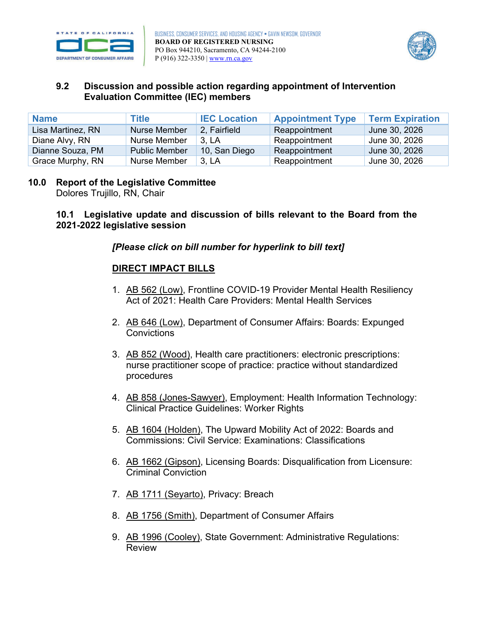



### **9.2 Discussion and possible action regarding appointment of Intervention Evaluation Committee (IEC) members**

| <b>Name</b>       | <b>Title</b>         | <b>IEC Location</b> | <b>Appointment Type</b> | <b>Term Expiration</b> |
|-------------------|----------------------|---------------------|-------------------------|------------------------|
| Lisa Martinez, RN | Nurse Member         | 2. Fairfield        | Reappointment           | June 30, 2026          |
| Diane Alvy, RN    | Nurse Member         | 3. LA               | Reappointment           | June 30, 2026          |
| Dianne Souza, PM  | <b>Public Member</b> | 10, San Diego       | Reappointment           | June 30, 2026          |
| Grace Murphy, RN  | Nurse Member         | 3, LA               | Reappointment           | June 30, 2026          |

# **10.0 Report of the Legislative Committee**

Dolores Trujillo, RN, Chair

## **10.1 Legislative update and discussion of bills relevant to the Board from the 2021-2022 legislative session**

# *[Please click on bill number for hyperlink to bill text]*

## **DIRECT IMPACT BILLS**

- 1. [AB 562 \(Low\),](https://leginfo.legislature.ca.gov/faces/billNavClient.xhtml?bill_id=202120220AB562) Frontline COVID-19 Provider Mental Health Resiliency Act of 2021: Health Care Providers: Mental Health Services
- 2. [AB 646 \(Low\),](https://leginfo.legislature.ca.gov/faces/billNavClient.xhtml?bill_id=202120220AB646) Department of Consumer Affairs: Boards: Expunged **Convictions**
- 3. [AB 852 \(Wood\),](https://leginfo.legislature.ca.gov/faces/billNavClient.xhtml?bill_id=202120220AB852) Health care practitioners: electronic prescriptions: nurse practitioner scope of practice: practice without standardized procedures
- 4. [AB 858 \(Jones-Sawyer\),](https://leginfo.legislature.ca.gov/faces/billNavClient.xhtml?bill_id=202120220AB858) Employment: Health Information Technology: Clinical Practice Guidelines: Worker Rights
- 5. [AB 1604 \(Holden\),](https://leginfo.legislature.ca.gov/faces/billNavClient.xhtml?bill_id=202120220AB1604) The Upward Mobility Act of 2022: Boards and Commissions: Civil Service: Examinations: Classifications
- 6. [AB 1662 \(Gipson\),](https://leginfo.legislature.ca.gov/faces/billNavClient.xhtml?bill_id=202120220AB1662) Licensing Boards: Disqualification from Licensure: Criminal Conviction
- 7. [AB 1711 \(Seyarto\),](https://leginfo.legislature.ca.gov/faces/billNavClient.xhtml?bill_id=202120220AB1711) Privacy: Breach
- 8. [AB 1756 \(Smith\),](https://leginfo.legislature.ca.gov/faces/billNavClient.xhtml?bill_id=202120220AB1756) Department of Consumer Affairs
- 9. [AB 1996 \(Cooley\),](https://leginfo.legislature.ca.gov/faces/billNavClient.xhtml?bill_id=202120220AB1996) State Government: Administrative Regulations: Review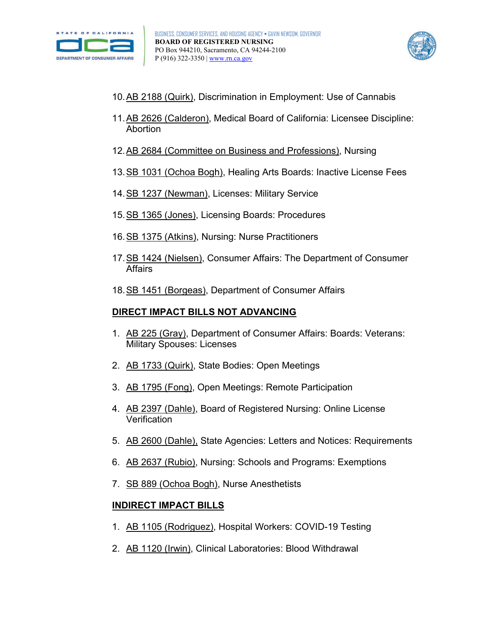



- 10[.AB 2188 \(Quirk\),](https://leginfo.legislature.ca.gov/faces/billNavClient.xhtml?bill_id=202120220AB2188) Discrimination in Employment: Use of Cannabis
- 11[.AB 2626 \(Calderon\),](https://leginfo.legislature.ca.gov/faces/billNavClient.xhtml?bill_id=202120220AB2626) Medical Board of California: Licensee Discipline: Abortion
- 12[.AB 2684 \(Committee on Business and Professions\),](https://leginfo.legislature.ca.gov/faces/billNavClient.xhtml?bill_id=202120220AB2684) Nursing
- 13[.SB 1031 \(Ochoa Bogh\),](https://leginfo.legislature.ca.gov/faces/billNavClient.xhtml?bill_id=202120220SB1031) Healing Arts Boards: Inactive License Fees
- 14. SB 1237 (Newman), Licenses: Military Service
- 15[.SB 1365 \(Jones\),](https://leginfo.legislature.ca.gov/faces/billNavClient.xhtml?bill_id=202120220SB1365) Licensing Boards: Procedures
- 16[.SB 1375 \(Atkins\),](https://leginfo.legislature.ca.gov/faces/billNavClient.xhtml?bill_id=202120220SB1375) Nursing: Nurse Practitioners
- 17[.SB 1424 \(Nielsen\),](https://leginfo.legislature.ca.gov/faces/billNavClient.xhtml?bill_id=202120220SB1424) Consumer Affairs: The Department of Consumer **Affairs**
- 18. SB 1451 (Borgeas), Department of Consumer Affairs

# **DIRECT IMPACT BILLS NOT ADVANCING**

- 1. [AB 225 \(Gray\),](https://leginfo.legislature.ca.gov/faces/billNavClient.xhtml?bill_id=202120220AB225&firstNav=tracking) Department of Consumer Affairs: Boards: Veterans: Military Spouses: Licenses
- 2. [AB 1733 \(Quirk\),](https://leginfo.legislature.ca.gov/faces/billNavClient.xhtml?bill_id=202120220AB1733) State Bodies: Open Meetings
- 3. [AB 1795 \(Fong\),](https://leginfo.legislature.ca.gov/faces/billNavClient.xhtml?bill_id=202120220AB1795) Open Meetings: Remote Participation
- 4. [AB 2397 \(Dahle\),](https://leginfo.legislature.ca.gov/faces/billNavClient.xhtml?bill_id=202120220AB2397) Board of Registered Nursing: Online License **Verification**
- 5. [AB 2600 \(Dahle\),](https://leginfo.legislature.ca.gov/faces/billNavClient.xhtml?bill_id=202120220AB2600) State Agencies: Letters and Notices: Requirements
- 6. [AB 2637 \(Rubio\),](https://leginfo.legislature.ca.gov/faces/billNavClient.xhtml?bill_id=202120220AB2637) Nursing: Schools and Programs: Exemptions
- 7. [SB 889 \(Ochoa Bogh\),](https://leginfo.legislature.ca.gov/faces/billNavClient.xhtml?bill_id=202120220SB889) Nurse Anesthetists

# **INDIRECT IMPACT BILLS**

- 1. [AB 1105 \(Rodriguez\),](https://leginfo.legislature.ca.gov/faces/billNavClient.xhtml?bill_id=202120220AB1105&firstNav=tracking) Hospital Workers: COVID-19 Testing
- 2. [AB 1120 \(Irwin\),](https://leginfo.legislature.ca.gov/faces/billNavClient.xhtml?bill_id=202120220AB1120) Clinical Laboratories: Blood Withdrawal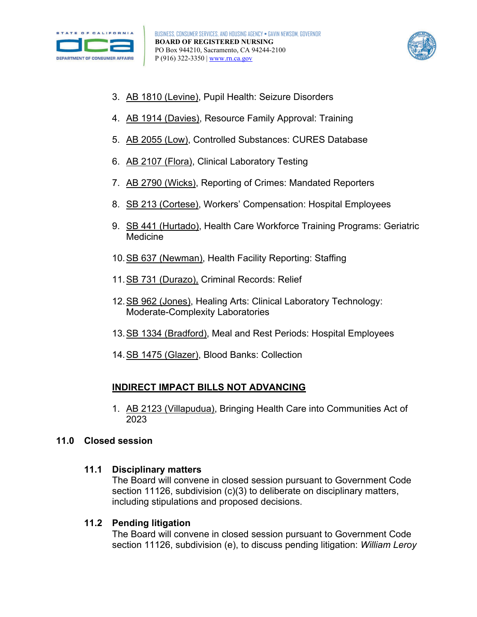



- 3. [AB 1810 \(Levine\),](https://leginfo.legislature.ca.gov/faces/billNavClient.xhtml?bill_id=202120220AB1810) Pupil Health: Seizure Disorders
- 4. [AB 1914 \(Davies\),](https://leginfo.legislature.ca.gov/faces/billNavClient.xhtml?bill_id=202120220AB1914) Resource Family Approval: Training
- 5. [AB 2055 \(Low\),](https://leginfo.legislature.ca.gov/faces/billNavClient.xhtml?bill_id=202120220AB2055) Controlled Substances: CURES Database
- 6. [AB 2107 \(Flora\),](https://leginfo.legislature.ca.gov/faces/billNavClient.xhtml?bill_id=202120220AB2107) Clinical Laboratory Testing
- 7. [AB 2790 \(Wicks\),](https://leginfo.legislature.ca.gov/faces/billNavClient.xhtml?bill_id=202120220AB2790) Reporting of Crimes: Mandated Reporters
- 8. [SB 213 \(Cortese\),](https://leginfo.legislature.ca.gov/faces/billNavClient.xhtml?bill_id=202120220SB213&firstNav=tracking) Workers' Compensation: Hospital Employees
- 9. [SB 441 \(Hurtado\),](https://leginfo.legislature.ca.gov/faces/billNavClient.xhtml?bill_id=202120220SB441) Health Care Workforce Training Programs: Geriatric Medicine
- 10. SB 637 (Newman), Health Facility Reporting: Staffing
- 11[.SB 731 \(Durazo\),](https://leginfo.legislature.ca.gov/faces/billNavClient.xhtml?bill_id=202120220SB731) Criminal Records: Relief
- 12[.SB 962 \(Jones\),](https://leginfo.legislature.ca.gov/faces/billNavClient.xhtml?bill_id=202120220SB962) Healing Arts: Clinical Laboratory Technology: Moderate-Complexity Laboratories
- 13. SB 1334 (Bradford), Meal and Rest Periods: Hospital Employees
- 14. SB 1475 (Glazer), Blood Banks: Collection

### **INDIRECT IMPACT BILLS NOT ADVANCING**

1. [AB 2123 \(Villapudua\),](https://leginfo.legislature.ca.gov/faces/billNavClient.xhtml?bill_id=202120220AB2123) Bringing Health Care into Communities Act of 2023

### **11.0 Closed session**

### **11.1 Disciplinary matters**

The Board will convene in closed session pursuant to Government Code section 11126, subdivision (c)(3) to deliberate on disciplinary matters, including stipulations and proposed decisions.

### **11.2 Pending litigation**

The Board will convene in closed session pursuant to Government Code section 11126, subdivision (e), to discuss pending litigation: *William Leroy*